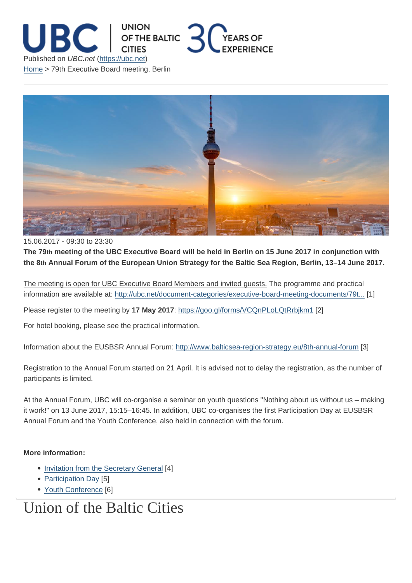## 15.06.2017 - 09:30 to 23:30

The 79th meeting of the UBC Executive Board will be held in Berlin on 15 June 2017 in conjunction with the 8th Annual Forum of the European Union Strategy for the Baltic Sea Region, Berlin, 13–14 June 2017.

The meeting is open for UBC Executive Board Members and invited guests. The programme and practical information are available at: http://ubc.net/document-categories/executive-board-meeting-documents/79t... [1]

Please register to the meeting by 17 May 2017: https://goo.gl/forms/VCQnPLoLQtRrbjkm1 [2]

For hotel booking, please se[e the practical information.](http://ubc.net/document-categories/executive-board-meeting-documents/79th-ubc-executive-board-meeting-berlin-15)

Information about the EUSBSR Annual Forum: [http://www.balticsea-region-strategy.eu/8th](https://goo.gl/forms/VCQnPLoLQtRrbjkm1)-annual-forum [3]

Registration to the Annual Forum started on 21 April. It is advised not to delay the registration, as the number of participants is limited.

At the Annual Forum, UBC will co-organise a seminar on youth questions "Nothing about us without us – making it work!" on 13 June 2017, 15:15–16:45. In addition, UBC co-organises the first Participation Day at EUSBSR Annual Forum and the Youth Conference, also held in connection with the forum.

More information:

- Invitation from the Secretary General [4]
- Participation Day [5]
- Youth Conference [6]

## Un[ion of th](http://ubc.net/content/participation-day-eusbsr-annual-forum)[e Baltic C](http://ubc.net/sites/default/files/invitation_3_0.pdf)ities